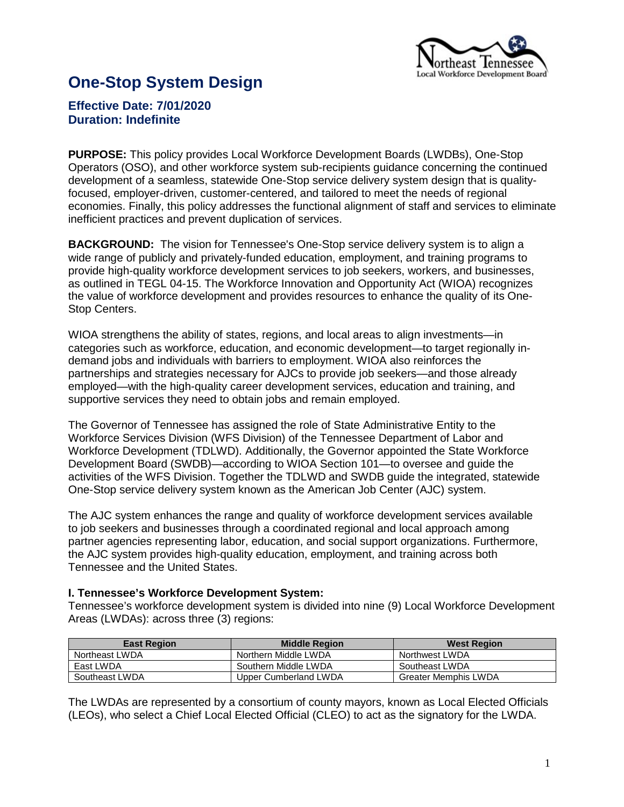

# **One-Stop System Design**

# **Effective Date: 7/01/2020 Duration: Indefinite**

**PURPOSE:** This policy provides Local Workforce Development Boards (LWDBs), One-Stop Operators (OSO), and other workforce system sub-recipients guidance concerning the continued development of a seamless, statewide One-Stop service delivery system design that is qualityfocused, employer-driven, customer-centered, and tailored to meet the needs of regional economies. Finally, this policy addresses the functional alignment of staff and services to eliminate inefficient practices and prevent duplication of services.

**BACKGROUND:** The vision for Tennessee's One-Stop service delivery system is to align a wide range of publicly and privately-funded education, employment, and training programs to provide high-quality workforce development services to job seekers, workers, and businesses, as outlined in TEGL 04-15. The Workforce Innovation and Opportunity Act (WIOA) recognizes the value of workforce development and provides resources to enhance the quality of its One-Stop Centers.

WIOA strengthens the ability of states, regions, and local areas to align investments—in categories such as workforce, education, and economic development—to target regionally indemand jobs and individuals with barriers to employment. WIOA also reinforces the partnerships and strategies necessary for AJCs to provide job seekers—and those already employed—with the high-quality career development services, education and training, and supportive services they need to obtain jobs and remain employed.

The Governor of Tennessee has assigned the role of State Administrative Entity to the Workforce Services Division (WFS Division) of the Tennessee Department of Labor and Workforce Development (TDLWD). Additionally, the Governor appointed the State Workforce Development Board (SWDB)—according to WIOA Section 101—to oversee and guide the activities of the WFS Division. Together the TDLWD and SWDB guide the integrated, statewide One-Stop service delivery system known as the American Job Center (AJC) system.

The AJC system enhances the range and quality of workforce development services available to job seekers and businesses through a coordinated regional and local approach among partner agencies representing labor, education, and social support organizations. Furthermore, the AJC system provides high-quality education, employment, and training across both Tennessee and the United States.

#### **I. Tennessee's Workforce Development System:**

Tennessee's workforce development system is divided into nine (9) Local Workforce Development Areas (LWDAs): across three (3) regions:

| <b>East Region</b> | <b>Middle Region</b>  | <b>West Region</b>          |
|--------------------|-----------------------|-----------------------------|
| Northeast LWDA     | Northern Middle LWDA  | Northwest LWDA              |
| East LWDA          | Southern Middle LWDA  | Southeast LWDA              |
| Southeast LWDA     | Upper Cumberland LWDA | <b>Greater Memphis LWDA</b> |

The LWDAs are represented by a consortium of county mayors, known as Local Elected Officials (LEOs), who select a Chief Local Elected Official (CLEO) to act as the signatory for the LWDA.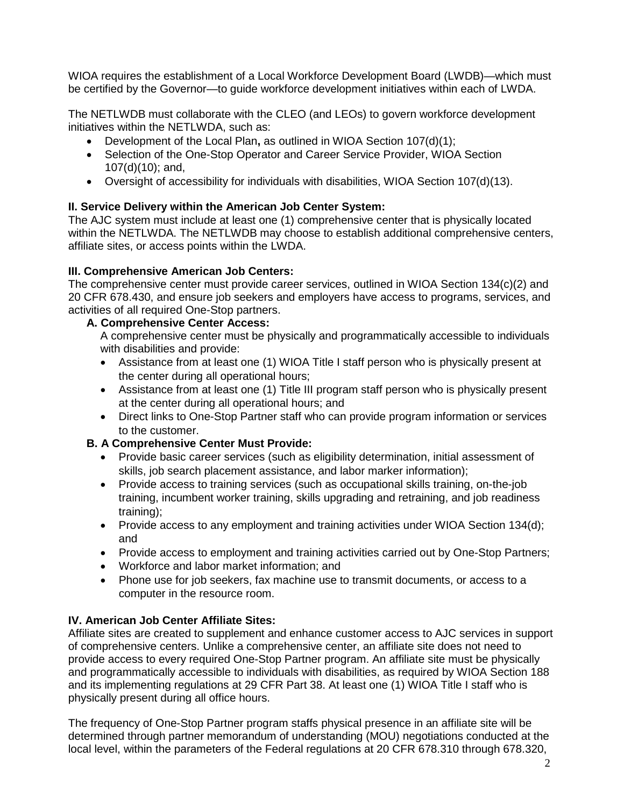WIOA requires the establishment of a Local Workforce Development Board (LWDB)—which must be certified by the Governor—to guide workforce development initiatives within each of LWDA.

The NETLWDB must collaborate with the CLEO (and LEOs) to govern workforce development initiatives within the NETLWDA, such as:

- Development of the Local Plan**,** as outlined in WIOA Section 107(d)(1);
- Selection of the One-Stop Operator and Career Service Provider, WIOA Section 107(d)(10); and,
- Oversight of accessibility for individuals with disabilities, WIOA Section 107(d)(13).

# **II. Service Delivery within the American Job Center System:**

The AJC system must include at least one (1) comprehensive center that is physically located within the NETLWDA. The NETLWDB may choose to establish additional comprehensive centers, affiliate sites, or access points within the LWDA.

# **III. Comprehensive American Job Centers:**

The comprehensive center must provide career services, outlined in WIOA Section 134(c)(2) and 20 CFR 678.430, and ensure job seekers and employers have access to programs, services, and activities of all required One-Stop partners.

# **A. Comprehensive Center Access:**

A comprehensive center must be physically and programmatically accessible to individuals with disabilities and provide:

- Assistance from at least one (1) WIOA Title I staff person who is physically present at the center during all operational hours;
- Assistance from at least one (1) Title III program staff person who is physically present at the center during all operational hours; and
- Direct links to One-Stop Partner staff who can provide program information or services to the customer.

# **B. A Comprehensive Center Must Provide:**

- Provide basic career services (such as eligibility determination, initial assessment of skills, job search placement assistance, and labor marker information);
- Provide access to training services (such as occupational skills training, on-the-job training, incumbent worker training, skills upgrading and retraining, and job readiness training);
- Provide access to any employment and training activities under WIOA Section 134(d); and
- Provide access to employment and training activities carried out by One-Stop Partners;
- Workforce and labor market information; and
- Phone use for job seekers, fax machine use to transmit documents, or access to a computer in the resource room.

# **IV. American Job Center Affiliate Sites:**

Affiliate sites are created to supplement and enhance customer access to AJC services in support of comprehensive centers. Unlike a comprehensive center, an affiliate site does not need to provide access to every required One-Stop Partner program. An affiliate site must be physically and programmatically accessible to individuals with disabilities, as required by WIOA Section 188 and its implementing regulations at 29 CFR Part 38. At least one (1) WIOA Title I staff who is physically present during all office hours.

The frequency of One-Stop Partner program staffs physical presence in an affiliate site will be determined through partner memorandum of understanding (MOU) negotiations conducted at the local level, within the parameters of the Federal regulations at 20 CFR 678.310 through 678.320,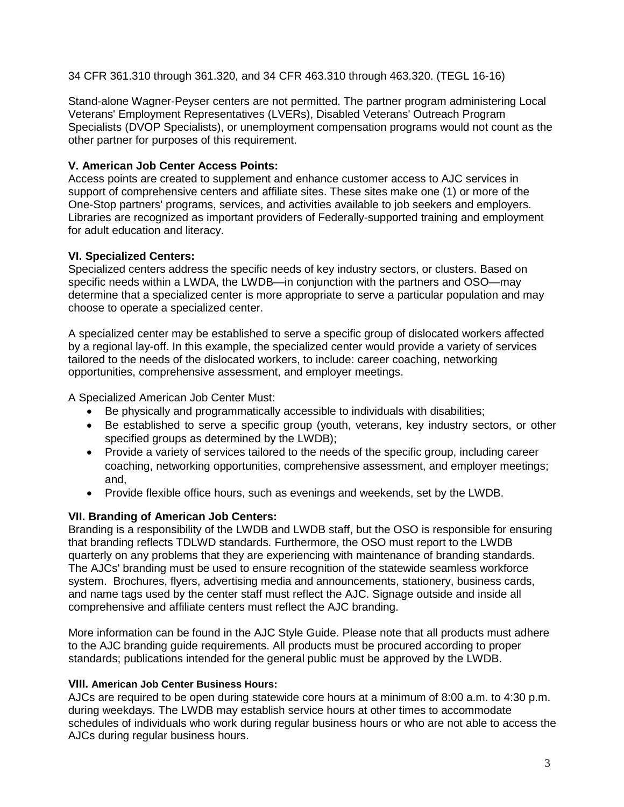34 CFR 361.310 through 361.320, and 34 CFR 463.310 through 463.320. (TEGL 16-16)

Stand-alone Wagner-Peyser centers are not permitted. The partner program administering Local Veterans' Employment Representatives (LVERs), Disabled Veterans' Outreach Program Specialists (DVOP Specialists), or unemployment compensation programs would not count as the other partner for purposes of this requirement.

# **V. American Job Center Access Points:**

Access points are created to supplement and enhance customer access to AJC services in support of comprehensive centers and affiliate sites. These sites make one (1) or more of the One-Stop partners' programs, services, and activities available to job seekers and employers. Libraries are recognized as important providers of Federally-supported training and employment for adult education and literacy.

# **VI. Specialized Centers:**

Specialized centers address the specific needs of key industry sectors, or clusters. Based on specific needs within a LWDA, the LWDB—in conjunction with the partners and OSO—may determine that a specialized center is more appropriate to serve a particular population and may choose to operate a specialized center.

A specialized center may be established to serve a specific group of dislocated workers affected by a regional lay-off. In this example, the specialized center would provide a variety of services tailored to the needs of the dislocated workers, to include: career coaching, networking opportunities, comprehensive assessment, and employer meetings.

A Specialized American Job Center Must:

- Be physically and programmatically accessible to individuals with disabilities;
- Be established to serve a specific group (youth, veterans, key industry sectors, or other specified groups as determined by the LWDB);
- Provide a variety of services tailored to the needs of the specific group, including career coaching, networking opportunities, comprehensive assessment, and employer meetings; and,
- Provide flexible office hours, such as evenings and weekends, set by the LWDB.

# **VII. Branding of American Job Centers:**

Branding is a responsibility of the LWDB and LWDB staff, but the OSO is responsible for ensuring that branding reflects TDLWD standards. Furthermore, the OSO must report to the LWDB quarterly on any problems that they are experiencing with maintenance of branding standards. The AJCs' branding must be used to ensure recognition of the statewide seamless workforce system. Brochures, flyers, advertising media and announcements, stationery, business cards, and name tags used by the center staff must reflect the AJC. Signage outside and inside all comprehensive and affiliate centers must reflect the AJC branding.

More information can be found in the AJC Style Guide. Please note that all products must adhere to the AJC branding guide requirements. All products must be procured according to proper standards; publications intended for the general public must be approved by the LWDB.

# **VIII. American Job Center Business Hours:**

AJCs are required to be open during statewide core hours at a minimum of 8:00 a.m. to 4:30 p.m. during weekdays. The LWDB may establish service hours at other times to accommodate schedules of individuals who work during regular business hours or who are not able to access the AJCs during regular business hours.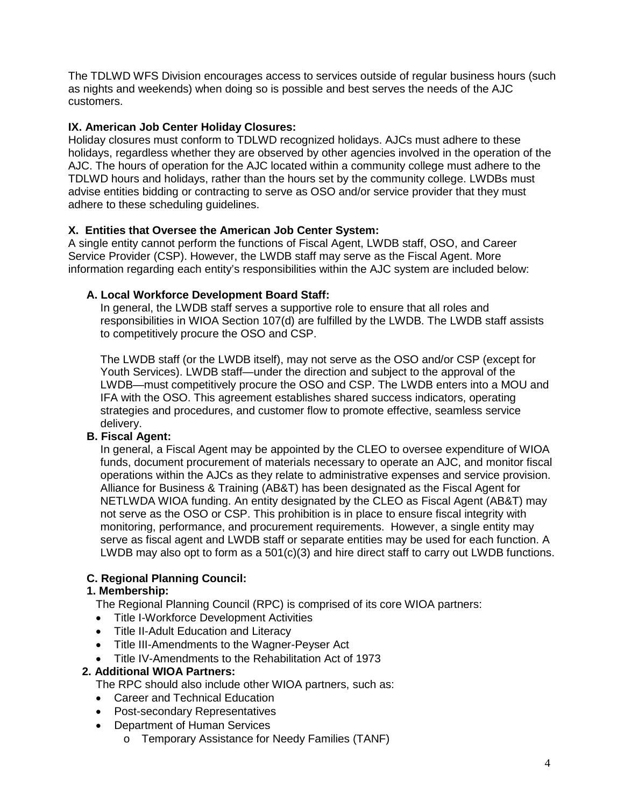The TDLWD WFS Division encourages access to services outside of regular business hours (such as nights and weekends) when doing so is possible and best serves the needs of the AJC customers.

### **IX. American Job Center Holiday Closures:**

Holiday closures must conform to TDLWD recognized holidays. AJCs must adhere to these holidays, regardless whether they are observed by other agencies involved in the operation of the AJC. The hours of operation for the AJC located within a community college must adhere to the TDLWD hours and holidays, rather than the hours set by the community college. LWDBs must advise entities bidding or contracting to serve as OSO and/or service provider that they must adhere to these scheduling guidelines.

### **X. Entities that Oversee the American Job Center System:**

A single entity cannot perform the functions of Fiscal Agent, LWDB staff, OSO, and Career Service Provider (CSP). However, the LWDB staff may serve as the Fiscal Agent. More information regarding each entity's responsibilities within the AJC system are included below:

# **A. Local Workforce Development Board Staff:**

In general, the LWDB staff serves a supportive role to ensure that all roles and responsibilities in WIOA Section 107(d) are fulfilled by the LWDB. The LWDB staff assists to competitively procure the OSO and CSP.

The LWDB staff (or the LWDB itself), may not serve as the OSO and/or CSP (except for Youth Services). LWDB staff—under the direction and subject to the approval of the LWDB—must competitively procure the OSO and CSP. The LWDB enters into a MOU and IFA with the OSO. This agreement establishes shared success indicators, operating strategies and procedures, and customer flow to promote effective, seamless service delivery.

# **B. Fiscal Agent:**

In general, a Fiscal Agent may be appointed by the CLEO to oversee expenditure of WIOA funds, document procurement of materials necessary to operate an AJC, and monitor fiscal operations within the AJCs as they relate to administrative expenses and service provision. Alliance for Business & Training (AB&T) has been designated as the Fiscal Agent for NETLWDA WIOA funding. An entity designated by the CLEO as Fiscal Agent (AB&T) may not serve as the OSO or CSP. This prohibition is in place to ensure fiscal integrity with monitoring, performance, and procurement requirements. However, a single entity may serve as fiscal agent and LWDB staff or separate entities may be used for each function. A LWDB may also opt to form as a 501(c)(3) and hire direct staff to carry out LWDB functions.

# **C. Regional Planning Council:**

#### **1. Membership:**

The Regional Planning Council (RPC) is comprised of its core WIOA partners:

- Title I-Workforce Development Activities
- Title II-Adult Education and Literacy
- Title III-Amendments to the Wagner-Peyser Act
- Title IV-Amendments to the Rehabilitation Act of 1973

#### **2. Additional WIOA Partners:**

The RPC should also include other WIOA partners, such as:

- Career and Technical Education
- Post-secondary Representatives
- Department of Human Services
	- o Temporary Assistance for Needy Families (TANF)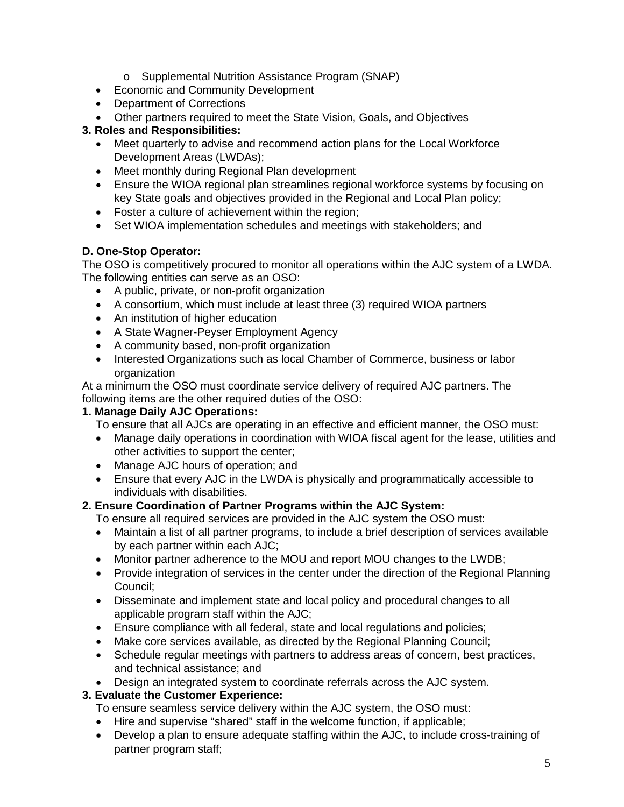- o Supplemental Nutrition Assistance Program (SNAP)
- Economic and Community Development
- Department of Corrections
- Other partners required to meet the State Vision, Goals, and Objectives

# **3. Roles and Responsibilities:**

- Meet quarterly to advise and recommend action plans for the Local Workforce Development Areas (LWDAs);
- Meet monthly during Regional Plan development
- Ensure the WIOA regional plan streamlines regional workforce systems by focusing on key State goals and objectives provided in the Regional and Local Plan policy;
- Foster a culture of achievement within the region;
- Set WIOA implementation schedules and meetings with stakeholders; and

# **D. One-Stop Operator:**

The OSO is competitively procured to monitor all operations within the AJC system of a LWDA. The following entities can serve as an OSO:

- A public, private, or non-profit organization
- A consortium, which must include at least three (3) required WIOA partners
- An institution of higher education
- A State Wagner-Peyser Employment Agency
- A community based, non-profit organization
- Interested Organizations such as local Chamber of Commerce, business or labor organization

At a minimum the OSO must coordinate service delivery of required AJC partners. The following items are the other required duties of the OSO:

# **1. Manage Daily AJC Operations:**

To ensure that all AJCs are operating in an effective and efficient manner, the OSO must:

- Manage daily operations in coordination with WIOA fiscal agent for the lease, utilities and other activities to support the center;
- Manage AJC hours of operation; and
- Ensure that every AJC in the LWDA is physically and programmatically accessible to individuals with disabilities.

# **2. Ensure Coordination of Partner Programs within the AJC System:**

- To ensure all required services are provided in the AJC system the OSO must:
- Maintain a list of all partner programs, to include a brief description of services available by each partner within each AJC;
- Monitor partner adherence to the MOU and report MOU changes to the LWDB;
- Provide integration of services in the center under the direction of the Regional Planning Council;
- Disseminate and implement state and local policy and procedural changes to all applicable program staff within the AJC;
- Ensure compliance with all federal, state and local regulations and policies;
- Make core services available, as directed by the Regional Planning Council;
- Schedule regular meetings with partners to address areas of concern, best practices, and technical assistance; and
- Design an integrated system to coordinate referrals across the AJC system.

# **3. Evaluate the Customer Experience:**

To ensure seamless service delivery within the AJC system, the OSO must:

- Hire and supervise "shared" staff in the welcome function, if applicable;
- Develop a plan to ensure adequate staffing within the AJC, to include cross-training of partner program staff;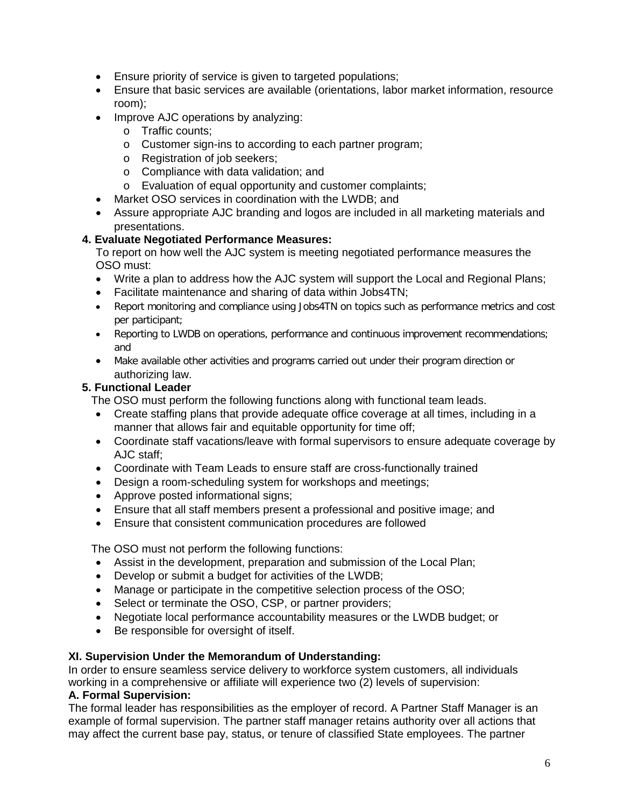- Ensure priority of service is given to targeted populations;
- Ensure that basic services are available (orientations, labor market information, resource room);
- Improve AJC operations by analyzing:
	- o Traffic counts;
	- o Customer sign-ins to according to each partner program;
	- o Registration of job seekers;
	- o Compliance with data validation; and
	- o Evaluation of equal opportunity and customer complaints;
- Market OSO services in coordination with the LWDB; and
- Assure appropriate AJC branding and logos are included in all marketing materials and presentations.

### **4. Evaluate Negotiated Performance Measures:**

To report on how well the AJC system is meeting negotiated performance measures the OSO must:

- Write a plan to address how the AJC system will support the Local and Regional Plans;
- Facilitate maintenance and sharing of data within Jobs4TN;
- Report monitoring and compliance using Jobs4TN on topics such as performance metrics and cost per participant;
- Reporting to LWDB on operations, performance and continuous improvement recommendations; and
- Make available other activities and programs carried out under their program direction or authorizing law.

### **5. Functional Leader**

The OSO must perform the following functions along with functional team leads.

- Create staffing plans that provide adequate office coverage at all times, including in a manner that allows fair and equitable opportunity for time off;
- Coordinate staff vacations/leave with formal supervisors to ensure adequate coverage by AJC staff;
- Coordinate with Team Leads to ensure staff are cross-functionally trained
- Design a room-scheduling system for workshops and meetings;
- Approve posted informational signs;
- Ensure that all staff members present a professional and positive image; and
- Ensure that consistent communication procedures are followed

The OSO must not perform the following functions:

- Assist in the development, preparation and submission of the Local Plan;
- Develop or submit a budget for activities of the LWDB;
- Manage or participate in the competitive selection process of the OSO;
- Select or terminate the OSO, CSP, or partner providers;
- Negotiate local performance accountability measures or the LWDB budget; or
- Be responsible for oversight of itself.

#### **XI. Supervision Under the Memorandum of Understanding:**

In order to ensure seamless service delivery to workforce system customers, all individuals working in a comprehensive or affiliate will experience two (2) levels of supervision:

#### **A. Formal Supervision:**

The formal leader has responsibilities as the employer of record. A Partner Staff Manager is an example of formal supervision. The partner staff manager retains authority over all actions that may affect the current base pay, status, or tenure of classified State employees. The partner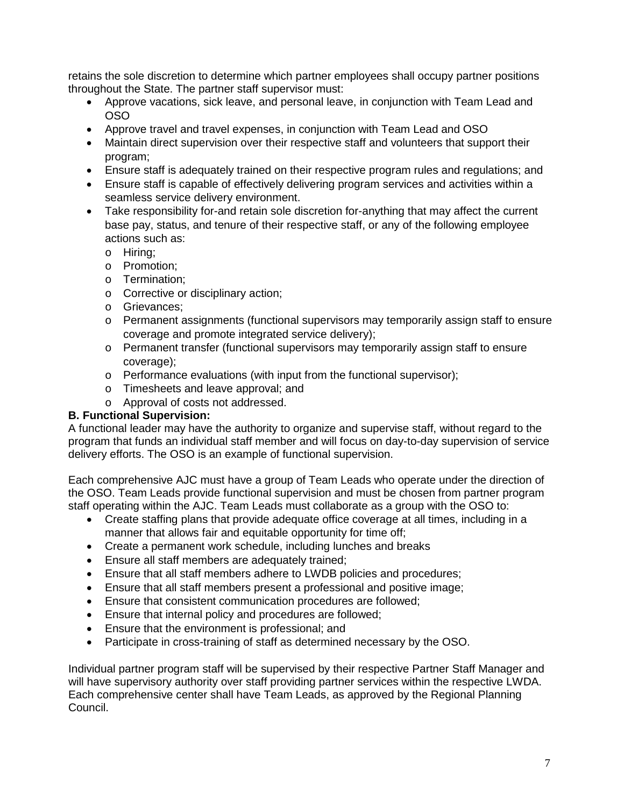retains the sole discretion to determine which partner employees shall occupy partner positions throughout the State. The partner staff supervisor must:

- Approve vacations, sick leave, and personal leave, in conjunction with Team Lead and OSO
- Approve travel and travel expenses, in conjunction with Team Lead and OSO
- Maintain direct supervision over their respective staff and volunteers that support their program;
- Ensure staff is adequately trained on their respective program rules and regulations; and
- Ensure staff is capable of effectively delivering program services and activities within a seamless service delivery environment.
- Take responsibility for-and retain sole discretion for-anything that may affect the current base pay, status, and tenure of their respective staff, or any of the following employee actions such as:
	- o Hiring;
	- o Promotion;
	- o Termination;
	- o Corrective or disciplinary action;
	- o Grievances;
	- o Permanent assignments (functional supervisors may temporarily assign staff to ensure coverage and promote integrated service delivery);
	- o Permanent transfer (functional supervisors may temporarily assign staff to ensure coverage);
	- o Performance evaluations (with input from the functional supervisor);
	- o Timesheets and leave approval; and
	- o Approval of costs not addressed.

# **B. Functional Supervision:**

A functional leader may have the authority to organize and supervise staff, without regard to the program that funds an individual staff member and will focus on day-to-day supervision of service delivery efforts. The OSO is an example of functional supervision.

Each comprehensive AJC must have a group of Team Leads who operate under the direction of the OSO. Team Leads provide functional supervision and must be chosen from partner program staff operating within the AJC. Team Leads must collaborate as a group with the OSO to:

- Create staffing plans that provide adequate office coverage at all times, including in a manner that allows fair and equitable opportunity for time off;
- Create a permanent work schedule, including lunches and breaks
- Ensure all staff members are adequately trained;
- Ensure that all staff members adhere to LWDB policies and procedures;
- Ensure that all staff members present a professional and positive image;
- Ensure that consistent communication procedures are followed;
- Ensure that internal policy and procedures are followed;
- Ensure that the environment is professional; and
- Participate in cross-training of staff as determined necessary by the OSO.

Individual partner program staff will be supervised by their respective Partner Staff Manager and will have supervisory authority over staff providing partner services within the respective LWDA. Each comprehensive center shall have Team Leads, as approved by the Regional Planning Council.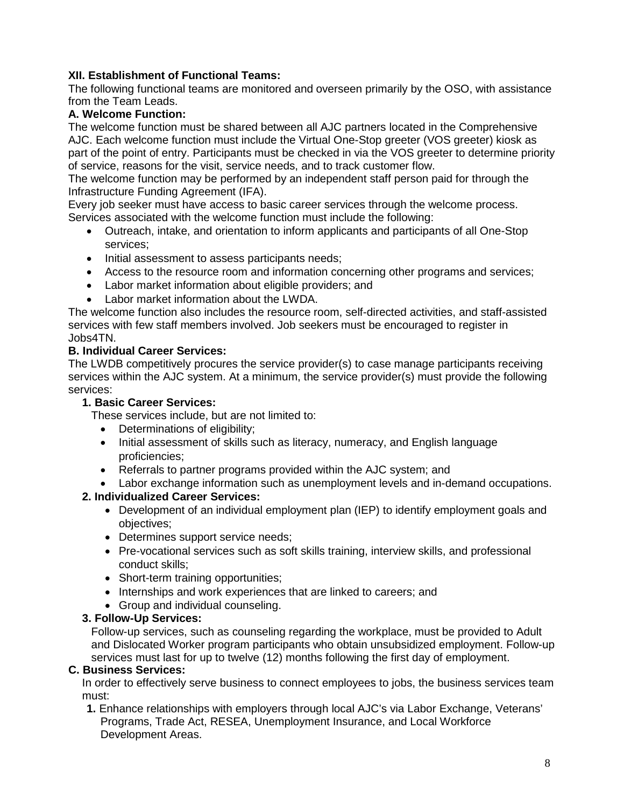# **XII. Establishment of Functional Teams:**

The following functional teams are monitored and overseen primarily by the OSO, with assistance from the Team Leads.

### **A. Welcome Function:**

The welcome function must be shared between all AJC partners located in the Comprehensive AJC. Each welcome function must include the Virtual One-Stop greeter (VOS greeter) kiosk as part of the point of entry. Participants must be checked in via the VOS greeter to determine priority of service, reasons for the visit, service needs, and to track customer flow.

The welcome function may be performed by an independent staff person paid for through the Infrastructure Funding Agreement (IFA).

Every job seeker must have access to basic career services through the welcome process. Services associated with the welcome function must include the following:

- Outreach, intake, and orientation to inform applicants and participants of all One-Stop services;
- Initial assessment to assess participants needs;
- Access to the resource room and information concerning other programs and services;
- Labor market information about eligible providers; and
- Labor market information about the LWDA.

The welcome function also includes the resource room, self-directed activities, and staff-assisted services with few staff members involved. Job seekers must be encouraged to register in Jobs4TN.

#### **B. Individual Career Services:**

The LWDB competitively procures the service provider(s) to case manage participants receiving services within the AJC system. At a minimum, the service provider(s) must provide the following services:

#### **1. Basic Career Services:**

These services include, but are not limited to:

- Determinations of eligibility;
- Initial assessment of skills such as literacy, numeracy, and English language proficiencies;
- Referrals to partner programs provided within the AJC system; and
- Labor exchange information such as unemployment levels and in-demand occupations.

# **2. Individualized Career Services:**

- Development of an individual employment plan (IEP) to identify employment goals and objectives;
- Determines support service needs;
- Pre-vocational services such as soft skills training, interview skills, and professional conduct skills;
- Short-term training opportunities;
- Internships and work experiences that are linked to careers; and
- Group and individual counseling.

#### **3. Follow-Up Services:**

Follow-up services, such as counseling regarding the workplace, must be provided to Adult and Dislocated Worker program participants who obtain unsubsidized employment. Follow-up services must last for up to twelve (12) months following the first day of employment.

#### **C. Business Services:**

In order to effectively serve business to connect employees to jobs, the business services team must:

**1.** Enhance relationships with employers through local AJC's via Labor Exchange, Veterans' Programs, Trade Act, RESEA, Unemployment Insurance, and Local Workforce Development Areas.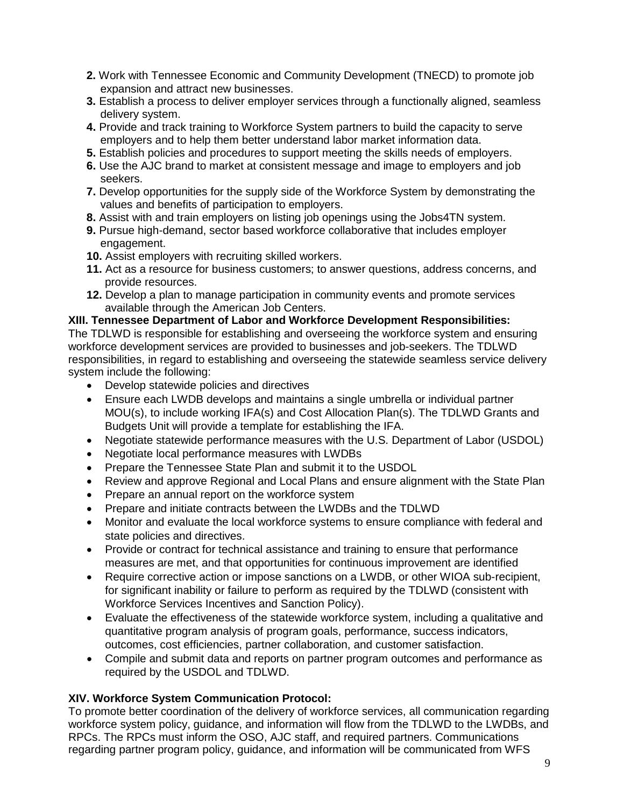- **2.** Work with Tennessee Economic and Community Development (TNECD) to promote job expansion and attract new businesses.
- **3.** Establish a process to deliver employer services through a functionally aligned, seamless delivery system.
- **4.** Provide and track training to Workforce System partners to build the capacity to serve employers and to help them better understand labor market information data.
- **5.** Establish policies and procedures to support meeting the skills needs of employers.
- **6.** Use the AJC brand to market at consistent message and image to employers and job seekers.
- **7.** Develop opportunities for the supply side of the Workforce System by demonstrating the values and benefits of participation to employers.
- **8.** Assist with and train employers on listing job openings using the Jobs4TN system.
- **9.** Pursue high-demand, sector based workforce collaborative that includes employer engagement.
- **10.** Assist employers with recruiting skilled workers.
- **11.** Act as a resource for business customers; to answer questions, address concerns, and provide resources.
- **12.** Develop a plan to manage participation in community events and promote services available through the American Job Centers.

# **XIII. Tennessee Department of Labor and Workforce Development Responsibilities:**

The TDLWD is responsible for establishing and overseeing the workforce system and ensuring workforce development services are provided to businesses and job-seekers. The TDLWD responsibilities, in regard to establishing and overseeing the statewide seamless service delivery system include the following:

- Develop statewide policies and directives
- Ensure each LWDB develops and maintains a single umbrella or individual partner MOU(s), to include working IFA(s) and Cost Allocation Plan(s). The TDLWD Grants and Budgets Unit will provide a template for establishing the IFA.
- Negotiate statewide performance measures with the U.S. Department of Labor (USDOL)
- Negotiate local performance measures with LWDBs
- Prepare the Tennessee State Plan and submit it to the USDOL
- Review and approve Regional and Local Plans and ensure alignment with the State Plan
- Prepare an annual report on the workforce system
- Prepare and initiate contracts between the LWDBs and the TDLWD
- Monitor and evaluate the local workforce systems to ensure compliance with federal and state policies and directives.
- Provide or contract for technical assistance and training to ensure that performance measures are met, and that opportunities for continuous improvement are identified
- Require corrective action or impose sanctions on a LWDB, or other WIOA sub-recipient, for significant inability or failure to perform as required by the TDLWD (consistent with Workforce Services Incentives and Sanction Policy).
- Evaluate the effectiveness of the statewide workforce system, including a qualitative and quantitative program analysis of program goals, performance, success indicators, outcomes, cost efficiencies, partner collaboration, and customer satisfaction.
- Compile and submit data and reports on partner program outcomes and performance as required by the USDOL and TDLWD.

# **XIV. Workforce System Communication Protocol:**

To promote better coordination of the delivery of workforce services, all communication regarding workforce system policy, guidance, and information will flow from the TDLWD to the LWDBs, and RPCs. The RPCs must inform the OSO, AJC staff, and required partners. Communications regarding partner program policy, guidance, and information will be communicated from WFS